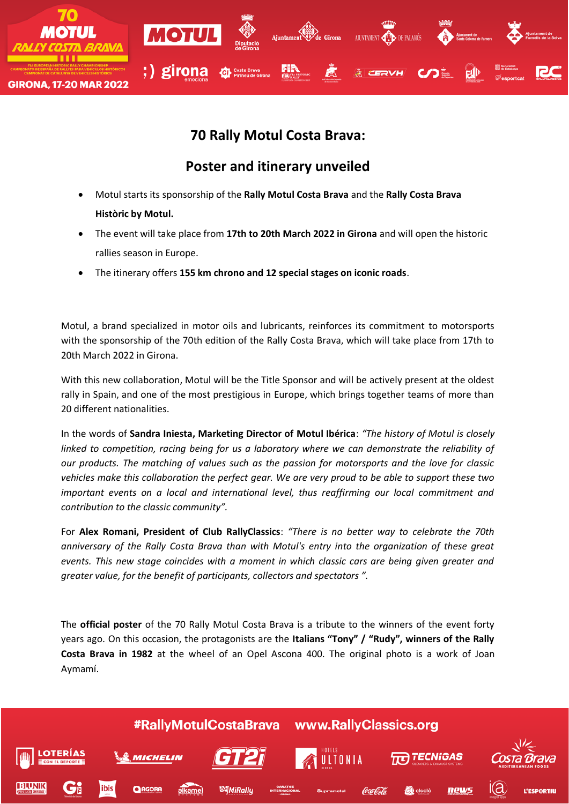

## **70 Rally Motul Costa Brava:**

## **Poster and itinerary unveiled**

- Motul starts its sponsorship of the **Rally Motul Costa Brava** and the **Rally Costa Brava Històric by Motul.**
- The event will take place from **17th to 20th March 2022 in Girona** and will open the historic rallies season in Europe.
- The itinerary offers **155 km chrono and 12 special stages on iconic roads**.

Motul, a brand specialized in motor oils and lubricants, reinforces its commitment to motorsports with the sponsorship of the 70th edition of the Rally Costa Brava, which will take place from 17th to 20th March 2022 in Girona.

With this new collaboration, Motul will be the Title Sponsor and will be actively present at the oldest rally in Spain, and one of the most prestigious in Europe, which brings together teams of more than 20 different nationalities.

In the words of **Sandra Iniesta, Marketing Director of Motul Ibérica**: *"The history of Motul is closely linked to competition, racing being for us a laboratory where we can demonstrate the reliability of our products. The matching of values such as the passion for motorsports and the love for classic vehicles make this collaboration the perfect gear. We are very proud to be able to support these two important events on a local and international level, thus reaffirming our local commitment and contribution to the classic community".*

For **Alex Romani, President of Club RallyClassics**: *"There is no better way to celebrate the 70th anniversary of the Rally Costa Brava than with Motul's entry into the organization of these great events. This new stage coincides with a moment in which classic cars are being given greater and greater value, for the benefit of participants, collectors and spectators ".*

The **official poster** of the 70 Rally Motul Costa Brava is a tribute to the winners of the event forty years ago. On this occasion, the protagonists are the **Italians "Tony" / "Rudy", winners of the Rally Costa Brava in 1982** at the wheel of an Opel Ascona 400. The original photo is a work of Joan Aymamí.